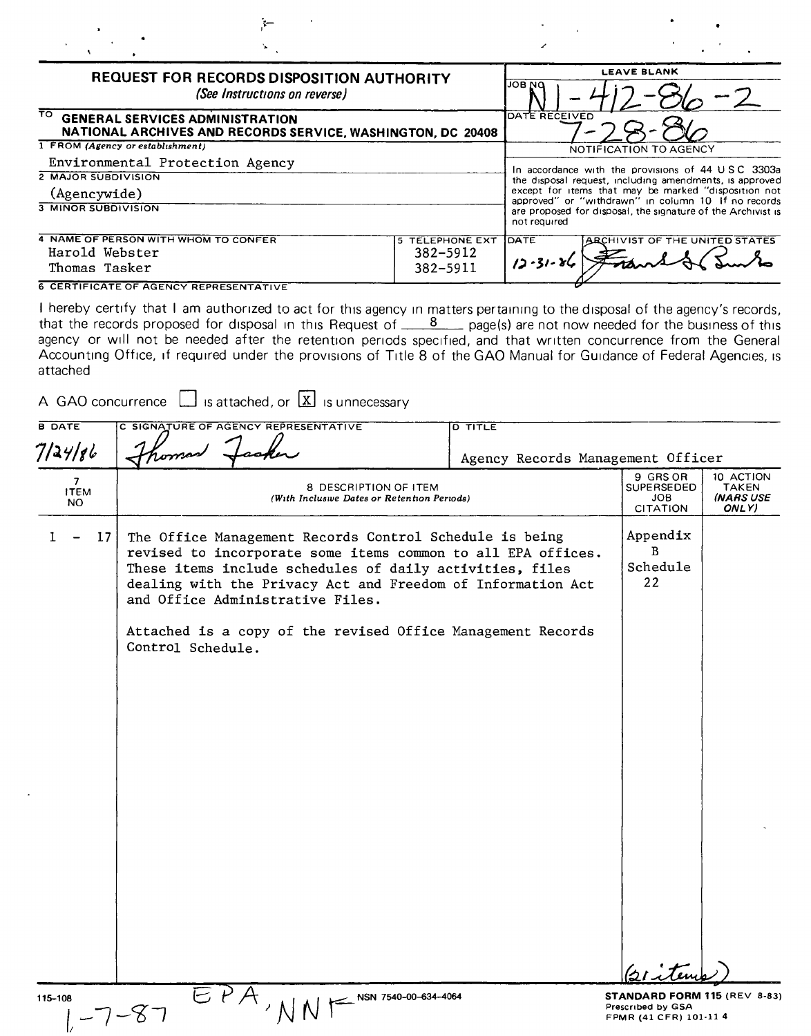| <b>REQUEST FOR RECORDS DISPOSITION AUTHORITY</b><br>(See Instructions on reverse)                            | <b>LEAVE BLANK</b><br>ри восі                                                                                                       |
|--------------------------------------------------------------------------------------------------------------|-------------------------------------------------------------------------------------------------------------------------------------|
| TO.<br><b>GENERAL SERVICES ADMINISTRATION</b><br>NATIONAL ARCHIVES AND RECORDS SERVICE, WASHINGTON, DC 20408 | DATE RECEIVED                                                                                                                       |
| 1 FROM (Agency or establishment)                                                                             | NOTIFICATION TO AGENCY                                                                                                              |
| Environmental Protection Agency                                                                              |                                                                                                                                     |
| <b>2 MAJOR SUBDIVISION</b>                                                                                   | In accordance with the provisions of 44 USC 3303a<br>the disposal request, including amendments, is approved                        |
| (Agencywide)                                                                                                 | except for items that may be marked "disposition not                                                                                |
| <b>3 MINOR SUBDIVISION</b>                                                                                   | approved" or "withdrawn" in column 10 If no records<br>are proposed for disposal, the signature of the Archivist is<br>not required |
| 4 NAME OF PERSON WITH WHOM TO CONFER<br><b>5 TELEPHONE EXT</b>                                               | ARCHIVIST OF THE UNITED STATES<br>Іратє                                                                                             |
| Harold Webster<br>382-5912                                                                                   |                                                                                                                                     |
| 382-5911<br>Thomas Tasker                                                                                    | $12 - 31 - 84$                                                                                                                      |

I hereby certify that I am authorized to act for this agency in matters pertaining to the disposal of the agency's records, that the records proposed for disposal in this Request of <u>8 page(s)</u> are not now needed for the business of this agency or will not be needed after the retention periods specified, and that written concurrence from the General Accounting Office, If required under the provrsrons of Title 8 of the GAO Manual for GUidance of Federal Agencies, IS

 $\frac{1}{2}$ 

| attached                |                                                                                                                                                                                                                                                                                                                                                                            |                                   |                                                         |                                                        |
|-------------------------|----------------------------------------------------------------------------------------------------------------------------------------------------------------------------------------------------------------------------------------------------------------------------------------------------------------------------------------------------------------------------|-----------------------------------|---------------------------------------------------------|--------------------------------------------------------|
|                         | A GAO concurrence $\Box$ is attached, or $\Box$ is unnecessary                                                                                                                                                                                                                                                                                                             |                                   |                                                         |                                                        |
| <b>B DATE</b>           | C SIGNATURE OF AGENCY REPRESENTATIVE                                                                                                                                                                                                                                                                                                                                       | <b>D TITLE</b>                    |                                                         |                                                        |
| 7/24/86                 |                                                                                                                                                                                                                                                                                                                                                                            | Agency Records Management Officer |                                                         |                                                        |
| 7<br><b>ITEM</b><br>NO. | 8 DESCRIPTION OF ITEM<br>(With Inclusive Dates or Retention Periods)                                                                                                                                                                                                                                                                                                       |                                   | 9 GRS OR<br><b>SUPERSEDED</b><br>JOB<br><b>CITATION</b> | 10 ACTION<br><b>TAKEN</b><br><b>INARS USE</b><br>ONLY) |
| 17 <sub>1</sub><br>L    | The Office Management Records Control Schedule is being<br>revised to incorporate some items common to all EPA offices.<br>These items include schedules of daily activities, files<br>dealing with the Privacy Act and Freedom of Information Act<br>and Office Administrative Files.<br>Attached is a copy of the revised Office Management Records<br>Control Schedule. |                                   | Appendix<br>B.<br>Schedule<br>$22 \overline{c}$         |                                                        |
| 115-108                 | NSN 7540-00-634-4064                                                                                                                                                                                                                                                                                                                                                       |                                   | STANDARD FORM 115 (REV 8-83)                            |                                                        |
|                         | $-7 - 87$                                                                                                                                                                                                                                                                                                                                                                  |                                   | Prescribed by GSA<br>FPMR (41 CFR) 101-11 4             |                                                        |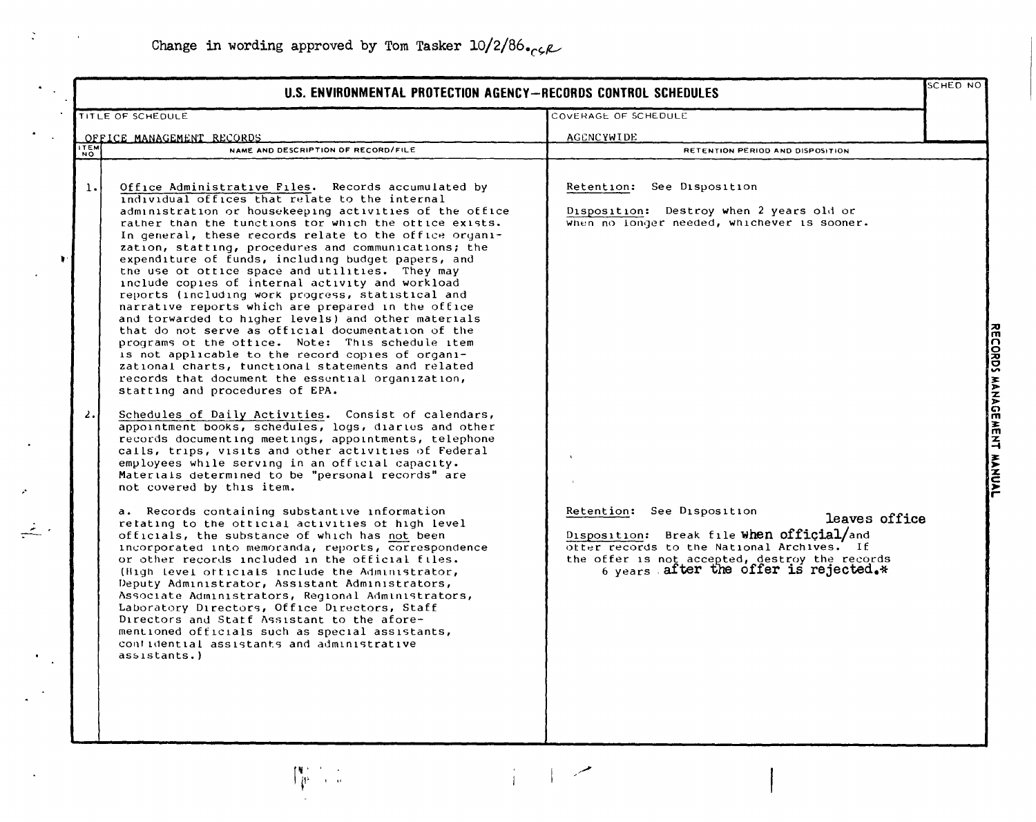$\int_{\mathbb{R}^n}^{p+1} \frac{1}{p} \, \frac{1}{p}$ 

 $\mathbb{R}^2$ 

 $\stackrel{\rightarrow}{\leftarrow}$ 

|                | U.S. ENVIRONMENTAL PROTECTION AGENCY-RECORDS CONTROL SCHEDULES |                                                                                                                                                                                                                                                                                                                                                                                                                                                                                                                                                                                                                                                                                                                                                                                                                                                                                                                                                                                                                                                                                                                                                                                                                                                                                                                                                                  |                                                                                                                                                                                                                                   | SCHED NO                                                   |
|----------------|----------------------------------------------------------------|------------------------------------------------------------------------------------------------------------------------------------------------------------------------------------------------------------------------------------------------------------------------------------------------------------------------------------------------------------------------------------------------------------------------------------------------------------------------------------------------------------------------------------------------------------------------------------------------------------------------------------------------------------------------------------------------------------------------------------------------------------------------------------------------------------------------------------------------------------------------------------------------------------------------------------------------------------------------------------------------------------------------------------------------------------------------------------------------------------------------------------------------------------------------------------------------------------------------------------------------------------------------------------------------------------------------------------------------------------------|-----------------------------------------------------------------------------------------------------------------------------------------------------------------------------------------------------------------------------------|------------------------------------------------------------|
|                |                                                                | TITLE OF SCHEDULE                                                                                                                                                                                                                                                                                                                                                                                                                                                                                                                                                                                                                                                                                                                                                                                                                                                                                                                                                                                                                                                                                                                                                                                                                                                                                                                                                | COVERAGE OF SCHEDULE                                                                                                                                                                                                              |                                                            |
|                |                                                                | OFFICE MANAGEMENT RECORDS                                                                                                                                                                                                                                                                                                                                                                                                                                                                                                                                                                                                                                                                                                                                                                                                                                                                                                                                                                                                                                                                                                                                                                                                                                                                                                                                        | AGENCYWIDE                                                                                                                                                                                                                        |                                                            |
|                | <b>ITEM</b><br>NO.                                             | NAME AND DESCRIPTION OF RECORD/FILE                                                                                                                                                                                                                                                                                                                                                                                                                                                                                                                                                                                                                                                                                                                                                                                                                                                                                                                                                                                                                                                                                                                                                                                                                                                                                                                              | RETENTION PERIOD AND DISPOSITION                                                                                                                                                                                                  |                                                            |
| ,<br>$\bullet$ | 1.<br>$\lambda$ .                                              | Office Administrative Files. Records accumulated by<br>individual offices that relate to the internal<br>administration or housekeeping activities of the office<br>rather than the tunctions for which the ottice exists.<br>In general, these records relate to the office organi-<br>zation, statting, procedures and communications; the<br>expenditure of funds, including budget papers, and<br>the use of office space and utilities. They may<br>include copies of internal activity and workload<br>reports (including work progress, statistical and<br>narrative reports which are prepared in the office<br>and torwarded to higher levels) and other materials<br>that do not serve as official documentation of the<br>programs ot the office. Note: This schedule item<br>is not applicable to the record copies of organi-<br>zational charts, tunctional statements and related<br>records that document the essential organization,<br>statting and procedures of EPA.<br>Schedules of Daily Activities. Consist of calendars,<br>appointment books, schedules, logs, diaries and other<br>records documenting meetings, appointments, telephone<br>calls, trips, visits and other activities of Federal<br>employees while serving in an official capacity.<br>Materials determined to be "personal records" are<br>not covered by this item. | Retention: See Disposition<br>Disposition: Destroy when 2 years old or<br>when no longer needed, whichever is sooner.                                                                                                             | <b>ORDS</b><br><b>MANAGE</b><br>졺<br>$\mathbf{z}$<br>WANUA |
|                |                                                                | a. Records containing substantive information<br>retating to the otticial activities of high level<br>officials, the substance of which has not been<br>incorporated into memoranda, reports, correspondence<br>or other records included in the official files.<br>(High level officials include the Administrator,<br>Deputy Administrator, Assistant Administrators,<br>Associate Administrators, Regional Administrators,<br>Laboratory Directors, Office Directors, Staff<br>Directors and Statf Assistant to the afore-<br>mentioned officials such as special assistants,<br>confidential assistants and administrative<br>assistants.)                                                                                                                                                                                                                                                                                                                                                                                                                                                                                                                                                                                                                                                                                                                   | Retention: See Disposition<br>leaves office<br>Disposition: Break file when official/and<br>offer records to the National Archives. If<br>the offer is not accepted, destroy the records<br>6 years after the offer is rejected.* |                                                            |

 $\frac{1}{1}$ 

 $\overline{a}$ 

m<br>C g えき かんじょう かんじょう かんじょう かんごう かんごう かんごう おおし かんごう かんこう かんこう かんこう かんこう かんこう こうしゅう かんこう しゅうしゅう こうしゃ ð *V>*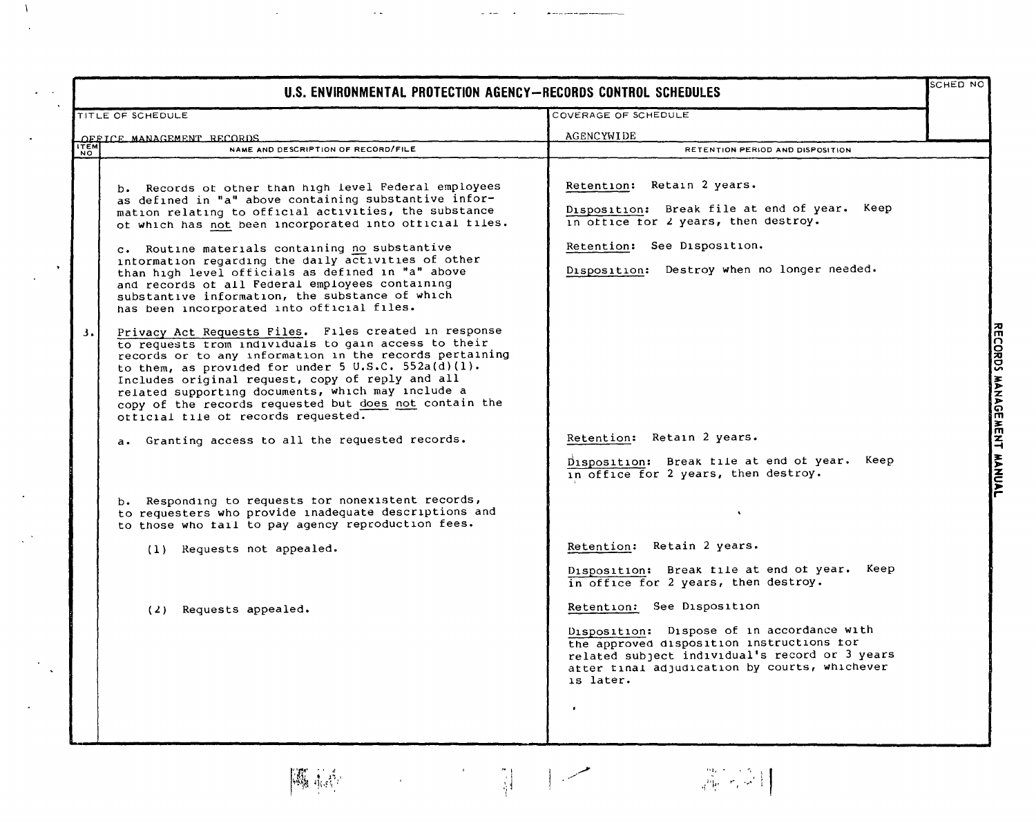| U.S. ENVIRONMENTAL PROTECTION AGENCY-RECORDS CONTROL SCHEDULES                                                                                                                                                                                                                                                                                                                                                                                                                                                                                                                                                                                                                                                                                                                                                                                                                                                                                                                                                                                                                                                                                                                                                                                                                             |                                                                                                                                                                                                                                                                                                                                                                                                                                                                                                                                                                                                                                                                                             | SCHED NO                  |
|--------------------------------------------------------------------------------------------------------------------------------------------------------------------------------------------------------------------------------------------------------------------------------------------------------------------------------------------------------------------------------------------------------------------------------------------------------------------------------------------------------------------------------------------------------------------------------------------------------------------------------------------------------------------------------------------------------------------------------------------------------------------------------------------------------------------------------------------------------------------------------------------------------------------------------------------------------------------------------------------------------------------------------------------------------------------------------------------------------------------------------------------------------------------------------------------------------------------------------------------------------------------------------------------|---------------------------------------------------------------------------------------------------------------------------------------------------------------------------------------------------------------------------------------------------------------------------------------------------------------------------------------------------------------------------------------------------------------------------------------------------------------------------------------------------------------------------------------------------------------------------------------------------------------------------------------------------------------------------------------------|---------------------------|
| TITLE OF SCHEDULE                                                                                                                                                                                                                                                                                                                                                                                                                                                                                                                                                                                                                                                                                                                                                                                                                                                                                                                                                                                                                                                                                                                                                                                                                                                                          | COVERAGE OF SCHEDULE                                                                                                                                                                                                                                                                                                                                                                                                                                                                                                                                                                                                                                                                        |                           |
| OFFICE MANAGEMENT RECORDS                                                                                                                                                                                                                                                                                                                                                                                                                                                                                                                                                                                                                                                                                                                                                                                                                                                                                                                                                                                                                                                                                                                                                                                                                                                                  | AGENCYWIDE                                                                                                                                                                                                                                                                                                                                                                                                                                                                                                                                                                                                                                                                                  |                           |
| <b>THEM</b><br>NAME AND DESCRIPTION OF RECORD/FILE                                                                                                                                                                                                                                                                                                                                                                                                                                                                                                                                                                                                                                                                                                                                                                                                                                                                                                                                                                                                                                                                                                                                                                                                                                         | RETENTION PERIOD AND DISPOSITION                                                                                                                                                                                                                                                                                                                                                                                                                                                                                                                                                                                                                                                            |                           |
| b. Records of other than high level Federal employees<br>as defined in "a" above containing substantive infor-<br>mation relating to official activities, the substance<br>ot which has not been incorporated into official files.<br>c. Routine materials containing no substantive<br>information regarding the daily activities of other<br>than high level officials as defined in "a" above<br>and records of all Federal employees containing<br>substantive information, the substance of which<br>has been incorporated into official files.<br>Privacy Act Requests Files. Files created in response<br>3.<br>to requests trom individuals to gain access to their<br>records or to any information in the records pertaining<br>to them, as provided for under 5 U.S.C. 552a(d)(1).<br>Includes original request, copy of reply and all<br>related supporting documents, which may include a<br>copy of the records requested but does not contain the<br>otticial tile of records requested.<br>a. Granting access to all the requested records.<br>b. Responding to requests tor nonexistent records,<br>to requesters who provide inadequate descriptions and<br>to those who tail to pay agency reproduction fees.<br>(1) Requests not appealed.<br>$(2)$ Requests appealed. | Retention: Retain 2 years.<br>Disposition: Break file at end of year. Keep<br>in office for 2 years, then destroy.<br>Retention: See Disposition.<br>Disposition: Destroy when no longer needed.<br>Retention: Retain 2 years.<br>Disposition: Break file at end of year.<br>Keep<br>in office for 2 years, then destroy.<br>Retention: Retain 2 years.<br>Keep<br>Disposition: Break tile at end of year.<br>in office for 2 years, then destroy.<br>Retention: See Disposition<br>Disposition: Dispose of in accordance with<br>the approved disposition instructions for<br>related subject individual's record or 3 years<br>atter tinal adjudication by courts, whichever<br>is later. | RECORDS MANAGEMENT MANUAL |

g ₹, o.,.  $\tilde{\mathbf{z}}$ z,..  $\tilde{\bm{\Omega}}$ m ~ m z -I ~,.. :z: c:

 $\Lambda$ 

 $\ddot{\phantom{1}}$ 

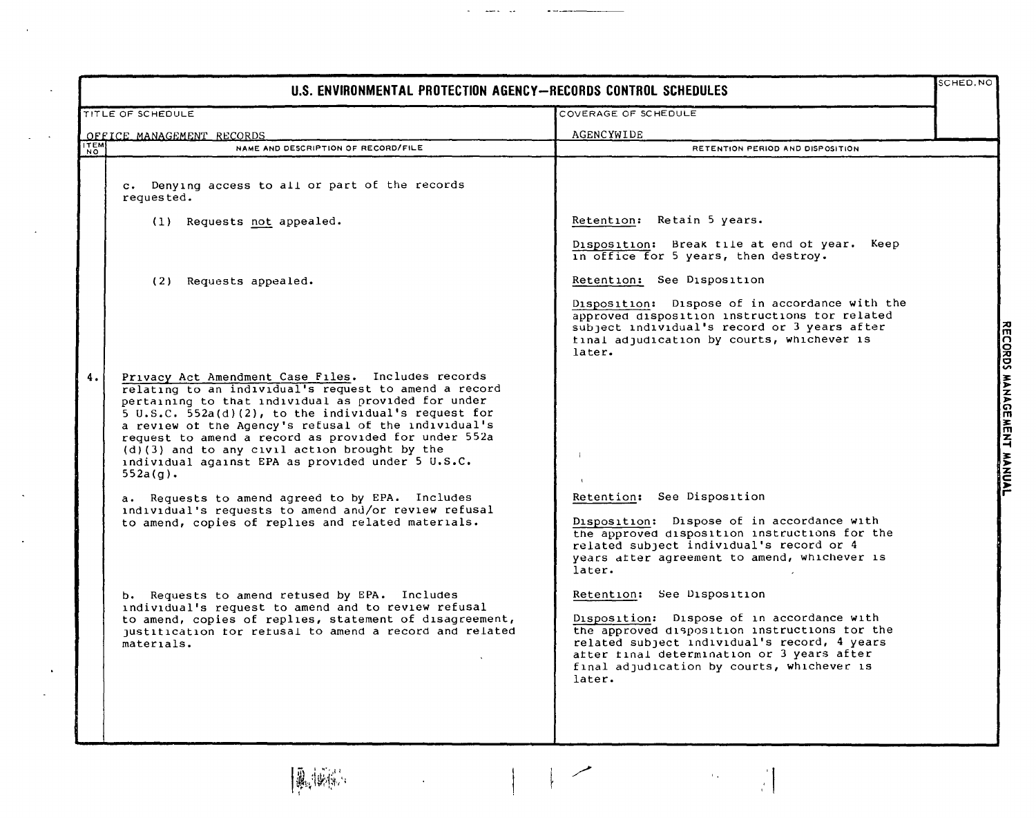|                   | U.S. ENVIRONMENTAL PROTECTION AGENCY-RECORDS CONTROL SCHEDULES                                                                                                                                                                                                                                                                                                                                                                                                                                                                                                                                                                      |                                                                                                                                                                                                                                                                                                                     |  |  |  |
|-------------------|-------------------------------------------------------------------------------------------------------------------------------------------------------------------------------------------------------------------------------------------------------------------------------------------------------------------------------------------------------------------------------------------------------------------------------------------------------------------------------------------------------------------------------------------------------------------------------------------------------------------------------------|---------------------------------------------------------------------------------------------------------------------------------------------------------------------------------------------------------------------------------------------------------------------------------------------------------------------|--|--|--|
| TITLE OF SCHEDULE |                                                                                                                                                                                                                                                                                                                                                                                                                                                                                                                                                                                                                                     | COVERAGE OF SCHEDULE                                                                                                                                                                                                                                                                                                |  |  |  |
|                   | OFFICE MANAGEMENT RECORDS                                                                                                                                                                                                                                                                                                                                                                                                                                                                                                                                                                                                           | AGENCYWIDE                                                                                                                                                                                                                                                                                                          |  |  |  |
| NO                | NAME AND DESCRIPTION OF RECORD/FILE                                                                                                                                                                                                                                                                                                                                                                                                                                                                                                                                                                                                 | RETENTION PERIOD AND DISPOSITION                                                                                                                                                                                                                                                                                    |  |  |  |
|                   | c. Denying access to all or part of the records<br>requested.<br>(1) Requests not appealed.                                                                                                                                                                                                                                                                                                                                                                                                                                                                                                                                         | Retention: Retain 5 years.                                                                                                                                                                                                                                                                                          |  |  |  |
|                   | (2) Requests appealed.                                                                                                                                                                                                                                                                                                                                                                                                                                                                                                                                                                                                              | Disposition: Break tile at end of year. Keep<br>in office for 5 years, then destroy.<br>Retention: See Disposition<br>Disposition: Dispose of in accordance with the<br>approved disposition instructions for related<br>subject individual's record or 3 years after<br>tinal adjudication by courts, whichever is |  |  |  |
| 4.                | Privacy Act Amendment Case Files. Includes records<br>relating to an individual's request to amend a record<br>pertaining to that individual as provided for under<br>5 U.S.C. 552a(d)(2), to the individual's request for<br>a review of the Agency's refusal of the individual's<br>request to amend a record as provided for under 552a<br>$(d)$ (3) and to any civil action brought by the<br>individual against EPA as provided under 5 U.S.C.<br>$552a(q)$ .<br>a. Requests to amend agreed to by EPA. Includes<br>individual's requests to amend and/or review refusal<br>to amend, copies of replies and related materials. | later.<br>$\mathbf{1}$<br>Retention: See Disposition<br>Disposition: Dispose of in accordance with<br>the approved disposition instructions for the<br>related subject individual's record or 4<br>years after agreement to amend, whichever is<br>later.                                                           |  |  |  |
|                   | b. Requests to amend retused by EPA. Includes<br>individual's request to amend and to review refusal<br>to amend, copies of replies, statement of disagreement,<br>justitication for refusal to amend a record and related<br>materials.                                                                                                                                                                                                                                                                                                                                                                                            | Retention: See Disposition<br>Disposition: Dispose of in accordance with<br>the approved disposition instructions for the<br>related subject individual's record, 4 years<br>atter final determination or 3 years after<br>final adjudication by courts, whichever is<br>later.                                     |  |  |  |
|                   | 風候感                                                                                                                                                                                                                                                                                                                                                                                                                                                                                                                                                                                                                                 | لمسر<br>$\mathbb{F}_{\geq 0}$<br>ř.                                                                                                                                                                                                                                                                                 |  |  |  |

 $\ddot{\phantom{a}}$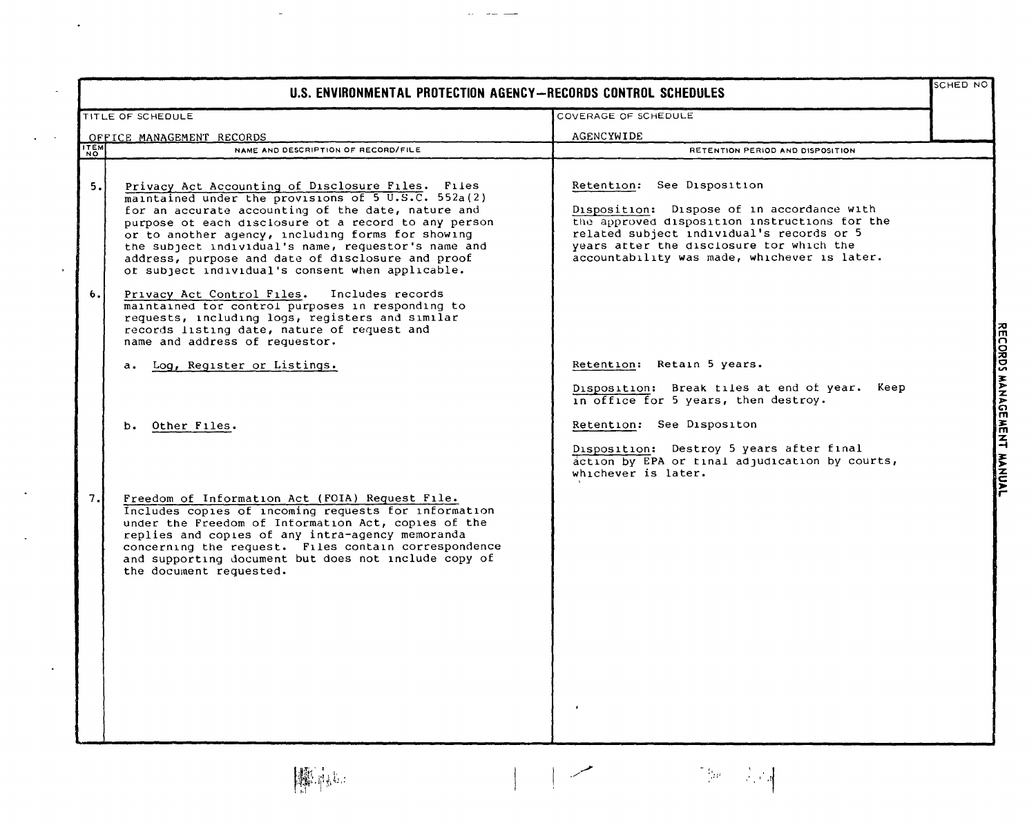| U.S. ENVIRONMENTAL PROTECTION AGENCY-RECORDS CONTROL SCHEDULES |                                                                                                                                                                                                                                                                                                                                                                                                                                             |                                                                                                                                                                                                                                                                    | SCHED NO                     |
|----------------------------------------------------------------|---------------------------------------------------------------------------------------------------------------------------------------------------------------------------------------------------------------------------------------------------------------------------------------------------------------------------------------------------------------------------------------------------------------------------------------------|--------------------------------------------------------------------------------------------------------------------------------------------------------------------------------------------------------------------------------------------------------------------|------------------------------|
| COVERAGE OF SCHEDULE<br>TITLE OF SCHEDULE                      |                                                                                                                                                                                                                                                                                                                                                                                                                                             |                                                                                                                                                                                                                                                                    |                              |
| OFFICE MANAGEMENT RECORDS                                      |                                                                                                                                                                                                                                                                                                                                                                                                                                             | AGENCYWIDE                                                                                                                                                                                                                                                         |                              |
| <b>ITEM</b>                                                    | NAME AND DESCRIPTION OF RECORD/FILE                                                                                                                                                                                                                                                                                                                                                                                                         | RETENTION PERIOD AND DISPOSITION                                                                                                                                                                                                                                   |                              |
| 5.1                                                            | Privacy Act Accounting of Disclosure Files. Files<br>maintained under the provisions of 5 U.S.C. 552a(2)<br>for an accurate accounting of the date, nature and<br>purpose ot each disclosure ot a record to any person<br>or to another agency, including forms for showing<br>the subject individual's name, requestor's name and<br>address, purpose and date of disclosure and proof<br>of subject individual's consent when applicable. | Retention: See Disposition<br>Disposition: Dispose of in accordance with<br>the approved disposition instructions for the<br>related subject individual's records or 5<br>years atter the disclosure tor which the<br>accountability was made, whichever is later. |                              |
| 6.                                                             | Privacy Act Control Files.<br>Includes records<br>maintained tor control purposes in responding to<br>requests, including logs, registers and similar<br>records listing date, nature of request and<br>name and address of requestor.                                                                                                                                                                                                      |                                                                                                                                                                                                                                                                    |                              |
|                                                                | a. Log, Register or Listings.                                                                                                                                                                                                                                                                                                                                                                                                               | Retention: Retain 5 years.                                                                                                                                                                                                                                         |                              |
|                                                                |                                                                                                                                                                                                                                                                                                                                                                                                                                             | Disposition: Break tiles at end of year. Keep<br>in office for 5 years, then destroy.                                                                                                                                                                              | <b>RECORDS MANAGE</b>        |
|                                                                | Other Files.<br>ь.                                                                                                                                                                                                                                                                                                                                                                                                                          | Retention: See Dispositon                                                                                                                                                                                                                                          |                              |
|                                                                |                                                                                                                                                                                                                                                                                                                                                                                                                                             | Disposition: Destroy 5 years after final<br>action by EPA or final adjudication by courts,<br>whichever is later.                                                                                                                                                  | <b>MENT</b><br><b>HANNAL</b> |
| 7.                                                             | Freedom of Information Act (FOIA) Request File.<br>Includes copies of incoming requests for information<br>under the Freedom of Information Act, copies of the<br>replies and copies of any intra-agency memoranda<br>concerning the request. Files contain correspondence<br>and supporting document but does not include copy of<br>the document requested.                                                                               |                                                                                                                                                                                                                                                                    |                              |

 $\mathbb{Z}^2$ 

 $\sim$ 

 $\ddot{\phantom{a}}$ 

 $\sim$   $\sim$  $\ddot{\phantom{a}}$ 

 $\alpha$ 

 $\langle \cdot \rangle$ 

 $\bar{\star}$ 

 $\sim$ 

معسر

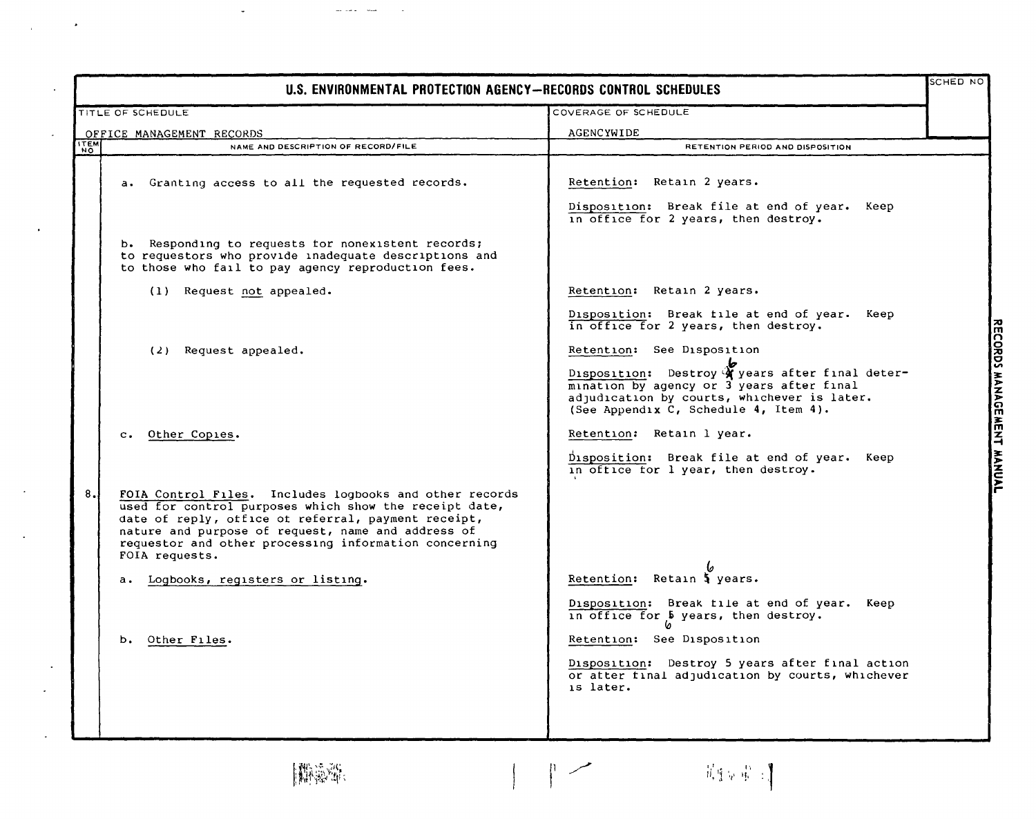|                    | U.S. ENVIRONMENTAL PROTECTION AGENCY-RECORDS CONTROL SCHEDULES                                                                                                                                                                                                                                            |                                                                                                                                                                                      |                           |
|--------------------|-----------------------------------------------------------------------------------------------------------------------------------------------------------------------------------------------------------------------------------------------------------------------------------------------------------|--------------------------------------------------------------------------------------------------------------------------------------------------------------------------------------|---------------------------|
|                    | COVERAGE OF SCHEDULE<br><b>TITLE OF SCHEDULE</b>                                                                                                                                                                                                                                                          |                                                                                                                                                                                      |                           |
|                    | OFFICE MANAGEMENT RECORDS                                                                                                                                                                                                                                                                                 | AGENCYWIDE                                                                                                                                                                           |                           |
| ітемі<br><b>NO</b> | NAME AND DESCRIPTION OF RECORD/FILE                                                                                                                                                                                                                                                                       | RETENTION PERIOD AND DISPOSITION                                                                                                                                                     |                           |
|                    | a. Granting access to all the requested records.                                                                                                                                                                                                                                                          | Retention: Retain 2 years.<br>Disposition: Break file at end of year. Keep<br>in office for 2 years, then destroy.                                                                   |                           |
|                    | b. Responding to requests for nonexistent records;<br>to requestors who provide inadequate descriptions and<br>to those who fail to pay agency reproduction fees.                                                                                                                                         |                                                                                                                                                                                      |                           |
|                    | (1) Request not appealed.                                                                                                                                                                                                                                                                                 | Retention: Retain 2 years.                                                                                                                                                           |                           |
|                    | (2) Request appealed.                                                                                                                                                                                                                                                                                     | Disposition: Break file at end of year.<br>Keep<br>in office for 2 years, then destroy.<br>Retention: See Disposition                                                                |                           |
|                    |                                                                                                                                                                                                                                                                                                           | Disposition: Destroy Y years after final deter-<br>mination by agency or 3 years after final<br>adjudication by courts, whichever is later.<br>(See Appendix C, Schedule 4, Item 4). | RECORDS MANAGEMENT MANUAL |
|                    | Other Copies.<br>$\mathbf{c}$ .                                                                                                                                                                                                                                                                           | Retention: Retain 1 year.                                                                                                                                                            |                           |
|                    |                                                                                                                                                                                                                                                                                                           | Disposition: Break file at end of year. Keep<br>in office for 1 year, then destroy.                                                                                                  |                           |
| 8.                 | FOIA Control Files. Includes logbooks and other records<br>used for control purposes which show the receipt date,<br>date of reply, office of referral, payment receipt,<br>nature and purpose of request, name and address of<br>requestor and other processing information concerning<br>FOIA requests. |                                                                                                                                                                                      |                           |
|                    | a. Logbooks, registers or listing.                                                                                                                                                                                                                                                                        | Retention: Retain 5 years.                                                                                                                                                           |                           |
|                    |                                                                                                                                                                                                                                                                                                           | Disposition: Break file at end of year.<br>Keep<br>in office for b years, then destroy.                                                                                              |                           |
|                    | b. Other Files.                                                                                                                                                                                                                                                                                           | Retention: See Disposition                                                                                                                                                           |                           |
|                    |                                                                                                                                                                                                                                                                                                           | Destroy 5 years after final action<br>Disposition:<br>or atter final adjudication by courts, whichever<br>is later.                                                                  |                           |
|                    | 撇滲率                                                                                                                                                                                                                                                                                                       | - 苏生同 + 字 + 字                                                                                                                                                                        |                           |

**期检测:** 

 $\downarrow$ 

 $\bullet$ 

as an a $\sim$  and

 $\ddot{\phantom{a}}$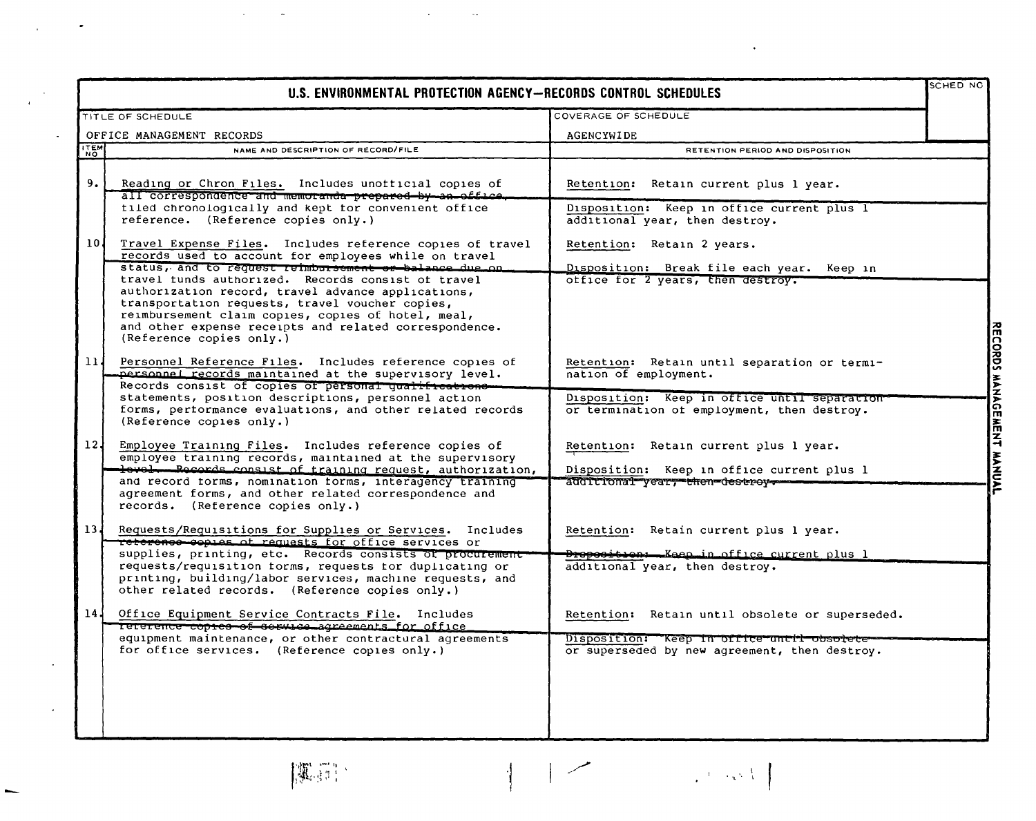|                 | U.S. ENVIRONMENTAL PROTECTION AGENCY-RECORDS CONTROL SCHEDULES                                                                                                                                                                                                                                                                                                                                                                                                                          |                                                                                                                                                                      | <b>SCHED NO</b>           |
|-----------------|-----------------------------------------------------------------------------------------------------------------------------------------------------------------------------------------------------------------------------------------------------------------------------------------------------------------------------------------------------------------------------------------------------------------------------------------------------------------------------------------|----------------------------------------------------------------------------------------------------------------------------------------------------------------------|---------------------------|
|                 | TITLE OF SCHEDULE                                                                                                                                                                                                                                                                                                                                                                                                                                                                       | COVERAGE OF SCHEDULE                                                                                                                                                 |                           |
|                 | OFFICE MANAGEMENT RECORDS                                                                                                                                                                                                                                                                                                                                                                                                                                                               | <b>AGENCYWIDE</b>                                                                                                                                                    |                           |
| <b>TEM</b>      | NAME AND DESCRIPTION OF RECORD/FILE                                                                                                                                                                                                                                                                                                                                                                                                                                                     | RETENTION PERIOD AND DISPOSITION                                                                                                                                     |                           |
| 9.1             | Reading or Chron Files. Includes unotticial copies of<br>all correspondence and memoranda prepared by an office.<br>tiled chronologically and kept for convenient office<br>reference. (Reference copies only.)                                                                                                                                                                                                                                                                         | Retention: Retain current plus 1 year.<br>Disposition: Keep in office current plus I<br>additional year, then destroy.                                               |                           |
| 10 <sub>1</sub> | Travel Expense Files. Includes reference copies of travel<br>records used to account for employees while on travel<br>status, and to request reimbursement or balance due on<br>travel tunds authorized. Records consist of travel<br>authorization record, travel advance applications,<br>transportation requests, travel voucher copies,<br>reimbursement claim copies, copies of hotel, meal,<br>and other expense receipts and related correspondence.<br>(Reference copies only.) | Retention: Retain 2 years.<br>Disposition: Break file each year. Keep in<br>office for 2 years, then destroy.                                                        |                           |
| 11 <sub>1</sub> | Personnel Reference Files. Includes reference copies of<br>personnel records maintained at the supervisory level.<br>Records consist of copies of personal qualifications-<br>statements, position descriptions, personnel action<br>forms, pertormance evaluations, and other related records<br>(Reference copies only.)                                                                                                                                                              | Retention: Retain until separation or termi-<br>nation of employment.<br>Disposition: Keep in office until separation<br>or termination of employment, then destroy. | RECORDS MANAGEMENT MANUAL |
| 12 <sub>1</sub> | Employee Training Files. Includes reference copies of<br>employee training records, maintained at the supervisory<br>level Records consist of training request, authorization,<br>and record torms, nomination forms, interagency training<br>agreement forms, and other related correspondence and<br>records. (Reference copies only.)                                                                                                                                                | Retention: Retain current plus 1 year.<br>Disposition: Keep in office current plus 1<br>additional year, then destroy -                                              |                           |
| 13 <sub>1</sub> | Requests/Requisitions for Supplies or Services. Includes<br>reterence copies of requests for office services or<br>supplies, printing, etc. Records consists of procurement<br>requests/requisition forms, requests for duplicating or<br>printing, building/labor services, machine requests, and<br>other related records. (Reference copies only.)                                                                                                                                   | Retention: Retain current plus 1 year.<br><del>Droposition: Kaep in office current</del> plus l<br>additional year, then destroy.                                    |                           |
| 14 <sub>1</sub> | Office Equipment Service Contracts File. Includes<br>Teterence copies of sorvice agreements for office<br>equipment maintenance, or other contractural agreements<br>for office services. (Reference copies only.)                                                                                                                                                                                                                                                                      | Retention: Retain until obsolete or superseded.<br>Disposition: Keep in office until obsorete<br>or superseded by new agreement, then destroy.                       |                           |

 $\sim 10^{11}$ 

 $\sim$ 

 $|\mathfrak{P}_{\alpha}(\mathbb{S}^n)|$ 

 $\mathcal{L}$ 

 $\bullet$ 

 $\boldsymbol{\epsilon}$ 

 $\sim$ 

 $\omega$ 

**Contract Contract Contract Contract** 

 $\mathcal{L}^{(p)}$  and  $\mathcal{L}$ 

 $\mathcal{A}^{\text{max}}$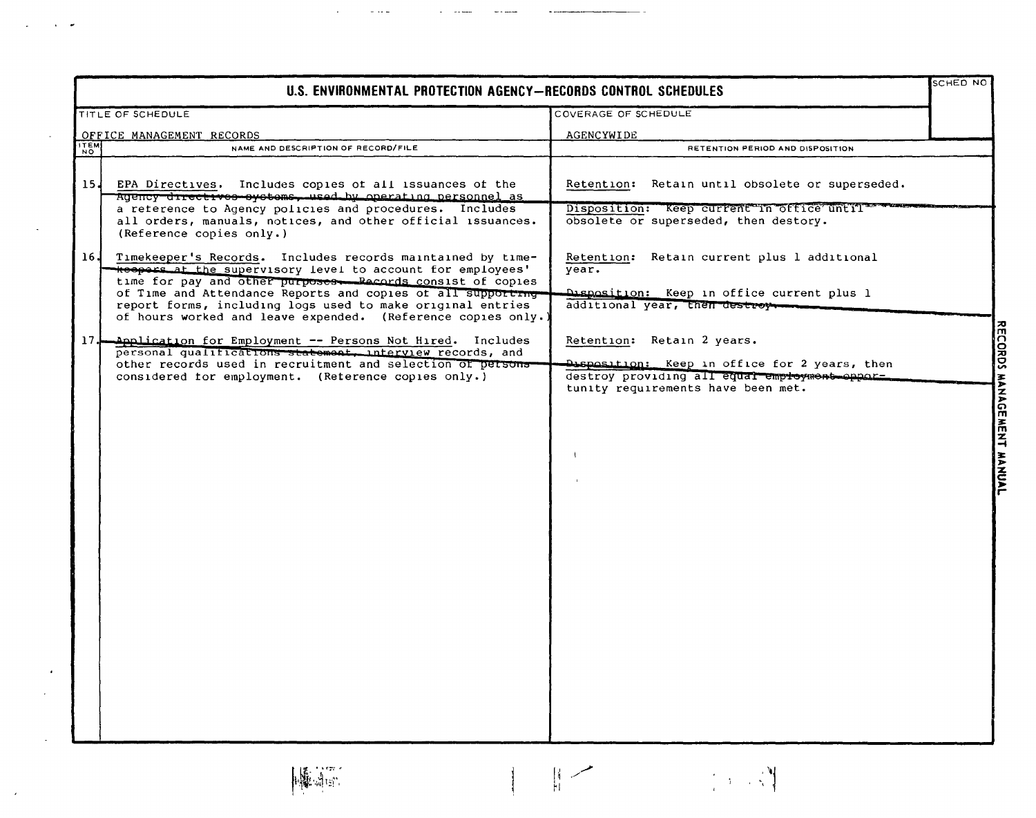|                          | U.S. ENVIRONMENTAL PROTECTION AGENCY-RECORDS CONTROL SCHEDULES                                                                                                                            |                                                                                                |  |
|--------------------------|-------------------------------------------------------------------------------------------------------------------------------------------------------------------------------------------|------------------------------------------------------------------------------------------------|--|
|                          | TITLE OF SCHEDULE                                                                                                                                                                         | COVERAGE OF SCHEDULE                                                                           |  |
|                          | OFFICE MANAGEMENT RECORDS                                                                                                                                                                 | AGENCYWIDE                                                                                     |  |
| <b>ITEM</b><br><b>NO</b> | NAME AND DESCRIPTION OF RECORD/FILE                                                                                                                                                       | RETENTION PERIOD AND DISPOSITION                                                               |  |
| 15J                      | EPA Directives. Includes copies of all issuances of the<br>Agency directives systems, used by operating personnel as                                                                      | Retention: Retain until obsolete or superseded.                                                |  |
|                          | a reterence to Agency policies and procedures. Includes<br>all orders, manuals, notices, and other official issuances.<br>(Reference copies only.)                                        | Disposition: Keep current in office until<br>obsolete or superseded, then destory.             |  |
| 16J                      | Timekeeper's Records. Includes records maintained by time-<br>Resport at the supervisory level to account for employees'<br>time for pay and other purposes. Records consist of copies    | Retention: Retain current plus 1 additional<br>year.                                           |  |
|                          | of Time and Attendance Reports and copies of all supporting<br>report forms, including logs used to make original entries<br>of hours worked and leave expended. (Reference copies only.) | Disposition: Keep in office current plus 1<br>additional year, then destroy                    |  |
| 17.1                     | Application for Employment -- Persons Not Hired. Includes<br>personal qualifications statement, interview records, and                                                                    | Retention: Retain 2 years.                                                                     |  |
|                          | other records used in recruitment and selection of persons-<br>considered for employment. (Reference copies only.)                                                                        | Disposition: Keep in office for 2 years, then<br>destroy providing all equal employment appar- |  |
|                          |                                                                                                                                                                                           | tunity requirements have been met.                                                             |  |
|                          |                                                                                                                                                                                           |                                                                                                |  |
|                          |                                                                                                                                                                                           |                                                                                                |  |
|                          |                                                                                                                                                                                           |                                                                                                |  |
|                          |                                                                                                                                                                                           |                                                                                                |  |
|                          |                                                                                                                                                                                           |                                                                                                |  |
|                          |                                                                                                                                                                                           |                                                                                                |  |
|                          |                                                                                                                                                                                           |                                                                                                |  |
|                          |                                                                                                                                                                                           |                                                                                                |  |
|                          |                                                                                                                                                                                           |                                                                                                |  |
|                          |                                                                                                                                                                                           |                                                                                                |  |
|                          |                                                                                                                                                                                           |                                                                                                |  |
|                          |                                                                                                                                                                                           |                                                                                                |  |

 $\mathbb{R}$ 

 $\begin{array}{c} \begin{array}{c} \begin{array}{c} \begin{array}{c} \end{array} \end{array} \end{array} \end{array} \end{array}$ 

 $\label{eq:2} \frac{1}{\sqrt{2}}\left[\frac{1}{2}\left(1-\frac{1}{2}\right)\right] \left[\frac{1}{2}\right] \left[\frac{1}{2}\right]$ 

 $\omega_{\rm{max}}$  as

**INFORMATION** 

 $\mathcal{L}_{\mathcal{A}}$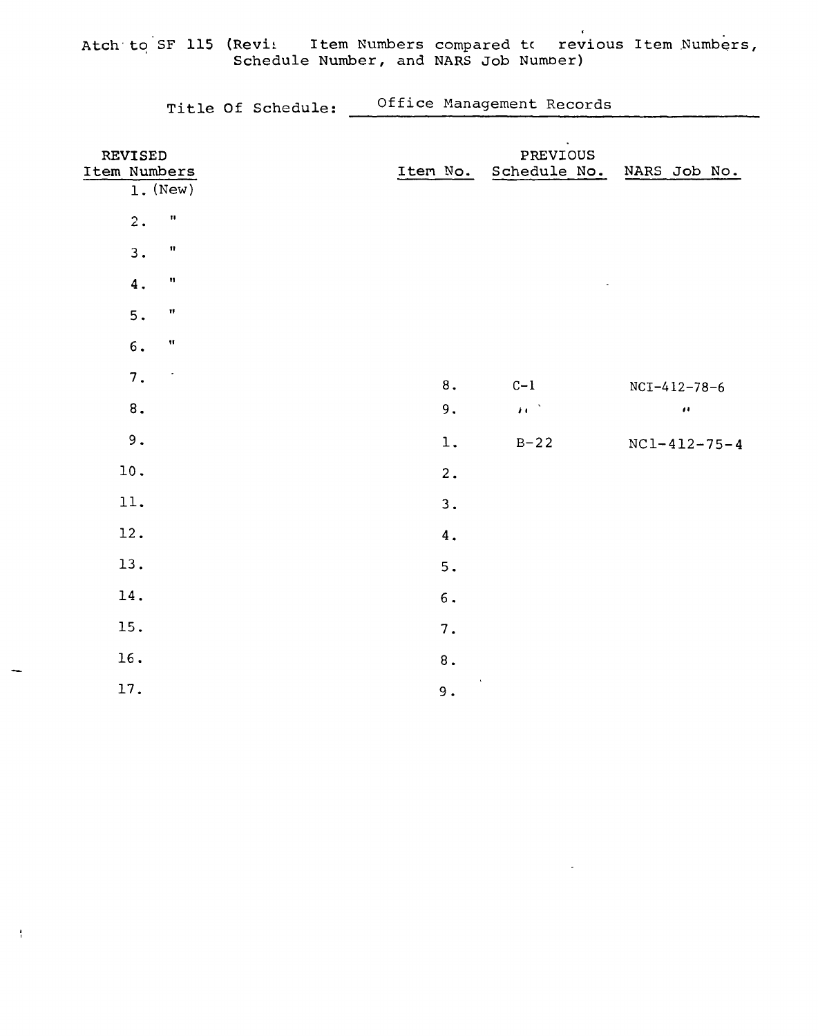Atch to SF 115 (Revi: Item Numbers compared to revious Item Numbers,<br>Schedule Number, and NARS Job Number)

| Title Of Schedule: |  | Office Management Records |  |
|--------------------|--|---------------------------|--|
|--------------------|--|---------------------------|--|

| REVISED<br>Item Numbers<br>$1.$ (New)      | Item No.                             | $\Delta$<br>PREVIOUS<br>Schedule No. | NARS Job No.         |
|--------------------------------------------|--------------------------------------|--------------------------------------|----------------------|
| $\boldsymbol{\mathsf{H}}$<br>2.            |                                      |                                      |                      |
| $\pmb{\mathfrak{m}}$<br>3.                 |                                      |                                      |                      |
| $\pmb{\mathfrak{m}}$<br>$\boldsymbol{4}$ . |                                      |                                      |                      |
| $\boldsymbol{\mathsf{H}}$<br>5.            |                                      |                                      |                      |
| $\pmb{\mathfrak{m}}$<br>6.                 |                                      |                                      |                      |
| $\sqrt{7}$ .<br>$\bullet$                  | $\bf 8$ .                            | $C-1$                                | $NCI-412-78-6$       |
| $\bf 8$ .                                  | 9.                                   | $\mathbf{H}^{(1)}$                   | $\pmb{\cdot}$        |
| 9.                                         | $1$ .                                | $B-22$                               | $NC1 - 412 - 75 - 4$ |
| $10$ .                                     | 2.                                   |                                      |                      |
| 11.                                        | 3.                                   |                                      |                      |
| 12.                                        | 4.                                   |                                      |                      |
| 13.                                        | $5.$                                 |                                      |                      |
| 14.                                        | $\mathbf 6$ .                        |                                      |                      |
| 15.                                        | $7$ .                                |                                      |                      |
| 16.                                        | $\bf 8$ .                            |                                      |                      |
| 17.                                        | $\bar{\phantom{a}}$<br>$\mathsf 9$ . |                                      |                      |

 $\frac{1}{4}$